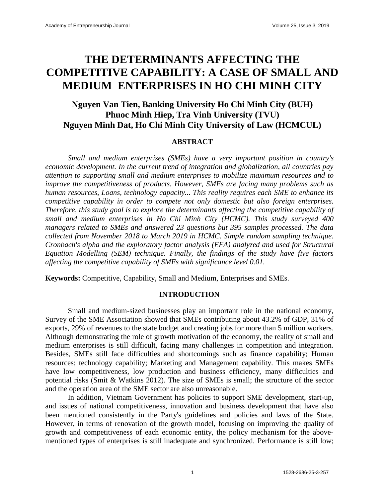# **THE DETERMINANTS AFFECTING THE COMPETITIVE CAPABILITY: A CASE OF SMALL AND MEDIUM ENTERPRISES IN HO CHI MINH CITY**

# **Nguyen Van Tien, Banking University Ho Chi Minh City (BUH) Phuoc Minh Hiep, Tra Vinh University (TVU) Nguyen Minh Dat, Ho Chi Minh City University of Law (HCMCUL)**

### **ABSTRACT**

*Small and medium enterprises (SMEs) have a very important position in country's economic development. In the current trend of integration and globalization, all countries pay attention to supporting small and medium enterprises to mobilize maximum resources and to improve the competitiveness of products. However, SMEs are facing many problems such as human resources, Loans, technology capacity... This reality requires each SME to enhance its competitive capability in order to compete not only domestic but also foreign enterprises. Therefore, this study goal is to explore the determinants affecting the competitive capability of small and medium enterprises in Ho Chi Minh City (HCMC). This study surveyed 400 managers related to SMEs and answered 23 questions but 395 samples processed. The data collected from November 2018 to March 2019 in HCMC. Simple random sampling technique. Cronbach's alpha and the exploratory factor analysis (EFA) analyzed and used for Structural Equation Modelling (SEM) technique. Finally, the findings of the study have five factors affecting the competitive capability of SMEs with significance level 0.01.* 

**Keywords:** Competitive, Capability, Small and Medium, Enterprises and SMEs.

### **INTRODUCTION**

Small and medium-sized businesses play an important role in the national economy, Survey of the SME Association showed that SMEs contributing about 43.2% of GDP, 31% of exports, 29% of revenues to the state budget and creating jobs for more than 5 million workers. Although demonstrating the role of growth motivation of the economy, the reality of small and medium enterprises is still difficult, facing many challenges in competition and integration. Besides, SMEs still face difficulties and shortcomings such as finance capability; Human resources; technology capability; Marketing and Management capability. This makes SMEs have low competitiveness, low production and business efficiency, many difficulties and potential risks (Smit & Watkins 2012). The size of SMEs is small; the structure of the sector and the operation area of the SME sector are also unreasonable.

In addition, Vietnam Government has policies to support SME development, start-up, and issues of national competitiveness, innovation and business development that have also been mentioned consistently in the Party's guidelines and policies and laws of the State. However, in terms of renovation of the growth model, focusing on improving the quality of growth and competitiveness of each economic entity, the policy mechanism for the abovementioned types of enterprises is still inadequate and synchronized. Performance is still low;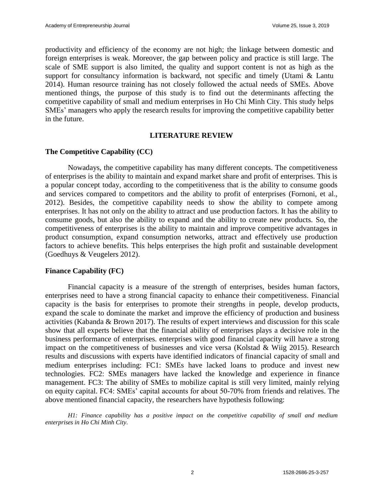productivity and efficiency of the economy are not high; the linkage between domestic and foreign enterprises is weak. Moreover, the gap between policy and practice is still large. The scale of SME support is also limited, the quality and support content is not as high as the support for consultancy information is backward, not specific and timely (Utami & Lantu 2014). Human resource training has not closely followed the actual needs of SMEs. Above mentioned things, the purpose of this study is to find out the determinants affecting the competitive capability of small and medium enterprises in Ho Chi Minh City. This study helps SMEs' managers who apply the research results for improving the competitive capability better in the future.

### **LITERATURE REVIEW**

### **The Competitive Capability (CC)**

Nowadays, the competitive capability has many different concepts. The competitiveness of enterprises is the ability to maintain and expand market share and profit of enterprises. This is a popular concept today, according to the competitiveness that is the ability to consume goods and services compared to competitors and the ability to profit of enterprises (Fornoni, et al., 2012). Besides, the competitive capability needs to show the ability to compete among enterprises. It has not only on the ability to attract and use production factors. It has the ability to consume goods, but also the ability to expand and the ability to create new products. So, the competitiveness of enterprises is the ability to maintain and improve competitive advantages in product consumption, expand consumption networks, attract and effectively use production factors to achieve benefits. This helps enterprises the high profit and sustainable development (Goedhuys & Veugelers 2012).

### **Finance Capability (FC)**

Financial capacity is a measure of the strength of enterprises, besides human factors, enterprises need to have a strong financial capacity to enhance their competitiveness. Financial capacity is the basis for enterprises to promote their strengths in people, develop products, expand the scale to dominate the market and improve the efficiency of production and business activities (Kabanda & Brown 2017). The results of expert interviews and discussion for this scale show that all experts believe that the financial ability of enterprises plays a decisive role in the business performance of enterprises. enterprises with good financial capacity will have a strong impact on the competitiveness of businesses and vice versa (Kolstad & Wiig 2015). Research results and discussions with experts have identified indicators of financial capacity of small and medium enterprises including: FC1: SMEs have lacked loans to produce and invest new technologies. FC2: SMEs managers have lacked the knowledge and experience in finance management. FC3: The ability of SMEs to mobilize capital is still very limited, mainly relying on equity capital. FC4: SMEs' capital accounts for about 50-70% from friends and relatives. The above mentioned financial capacity, the researchers have hypothesis following:

*H1: Finance capability has a positive impact on the competitive capability of small and medium enterprises in Ho Chi Minh City.*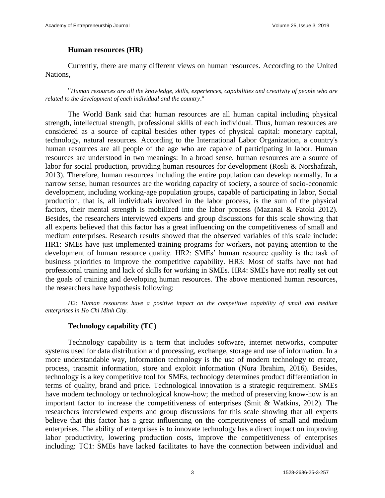### **Human resources (HR)**

Currently, there are many different views on human resources. According to the United Nations,

"*Human resources are all the knowledge, skills, experiences, capabilities and creativity of people who are related to the development of each individual and the country*."

The World Bank said that human resources are all human capital including physical strength, intellectual strength, professional skills of each individual. Thus, human resources are considered as a source of capital besides other types of physical capital: monetary capital, technology, natural resources. According to the International Labor Organization, a country's human resources are all people of the age who are capable of participating in labor. Human resources are understood in two meanings: In a broad sense, human resources are a source of labor for social production, providing human resources for development (Rosli & Norshafizah, 2013). Therefore, human resources including the entire population can develop normally. In a narrow sense, human resources are the working capacity of society, a source of socio-economic development, including working-age population groups, capable of participating in labor, Social production, that is, all individuals involved in the labor process, is the sum of the physical factors, their mental strength is mobilized into the labor process (Mazanai & Fatoki 2012). Besides, the researchers interviewed experts and group discussions for this scale showing that all experts believed that this factor has a great influencing on the competitiveness of small and medium enterprises. Research results showed that the observed variables of this scale include: HR1: SMEs have just implemented training programs for workers, not paying attention to the development of human resource quality. HR2: SMEs' human resource quality is the task of business priorities to improve the competitive capability. HR3: Most of staffs have not had professional training and lack of skills for working in SMEs. HR4: SMEs have not really set out the goals of training and developing human resources. The above mentioned human resources, the researchers have hypothesis following:

*H2: Human resources have a positive impact on the competitive capability of small and medium enterprises in Ho Chi Minh City.*

### **Technology capability (TC)**

Technology capability is a term that includes software, internet networks, computer systems used for data distribution and processing, exchange, storage and use of information. In a more understandable way, Information technology is the use of modern technology to create, process, transmit information, store and exploit information (Nura Ibrahim, 2016). Besides, technology is a key competitive tool for SMEs, technology determines product differentiation in terms of quality, brand and price. Technological innovation is a strategic requirement. SMEs have modern technology or technological know-how; the method of preserving know-how is an important factor to increase the competitiveness of enterprises (Smit & Watkins, 2012). The researchers interviewed experts and group discussions for this scale showing that all experts believe that this factor has a great influencing on the competitiveness of small and medium enterprises. The ability of enterprises is to innovate technology has a direct impact on improving labor productivity, lowering production costs, improve the competitiveness of enterprises including: TC1: SMEs have lacked facilitates to have the connection between individual and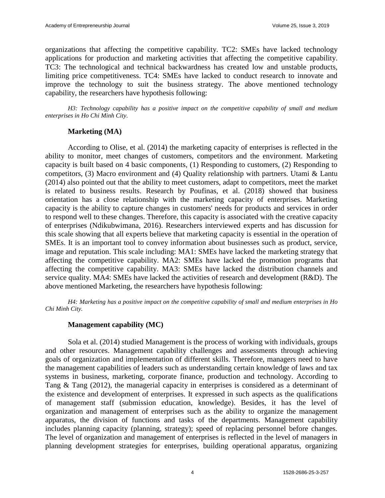organizations that affecting the competitive capability. TC2: SMEs have lacked technology applications for production and marketing activities that affecting the competitive capability. TC3: The technological and technical backwardness has created low and unstable products, limiting price competitiveness. TC4: SMEs have lacked to conduct research to innovate and improve the technology to suit the business strategy. The above mentioned technology capability, the researchers have hypothesis following:

*H3: Technology capability has a positive impact on the competitive capability of small and medium enterprises in Ho Chi Minh City.*

### **Marketing (MA)**

According to Olise, et al. (2014) the marketing capacity of enterprises is reflected in the ability to monitor, meet changes of customers, competitors and the environment. Marketing capacity is built based on 4 basic components, (1) Responding to customers, (2) Responding to competitors, (3) Macro environment and (4) Quality relationship with partners. Utami & Lantu (2014) also pointed out that the ability to meet customers, adapt to competitors, meet the market is related to business results. Research by Poufinas, et al. (2018) showed that business orientation has a close relationship with the marketing capacity of enterprises. Marketing capacity is the ability to capture changes in customers' needs for products and services in order to respond well to these changes. Therefore, this capacity is associated with the creative capacity of enterprises (Ndikubwimana, 2016). Researchers interviewed experts and has discussion for this scale showing that all experts believe that marketing capacity is essential in the operation of SMEs. It is an important tool to convey information about businesses such as product, service, image and reputation. This scale including: MA1: SMEs have lacked the marketing strategy that affecting the competitive capability. MA2: SMEs have lacked the promotion programs that affecting the competitive capability. MA3: SMEs have lacked the distribution channels and service quality. MA4: SMEs have lacked the activities of research and development (R&D). The above mentioned Marketing, the researchers have hypothesis following:

*H4: Marketing has a positive impact on the competitive capability of small and medium enterprises in Ho Chi Minh City.*

### **Management capability (MC)**

Sola et al. (2014) studied Management is the process of working with individuals, groups and other resources. Management capability challenges and assessments through achieving goals of organization and implementation of different skills. Therefore, managers need to have the management capabilities of leaders such as understanding certain knowledge of laws and tax systems in business, marketing, corporate finance, production and technology. According to Tang & Tang (2012), the managerial capacity in enterprises is considered as a determinant of the existence and development of enterprises. It expressed in such aspects as the qualifications of management staff (submission education, knowledge). Besides, it has the level of organization and management of enterprises such as the ability to organize the management apparatus, the division of functions and tasks of the departments. Management capability includes planning capacity (planning, strategy); speed of replacing personnel before changes. The level of organization and management of enterprises is reflected in the level of managers in planning development strategies for enterprises, building operational apparatus, organizing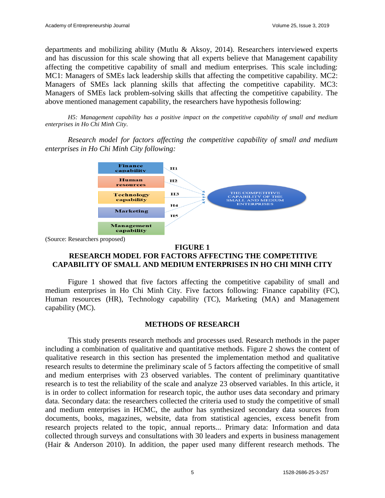departments and mobilizing ability (Mutlu & Aksoy, 2014). Researchers interviewed experts and has discussion for this scale showing that all experts believe that Management capability affecting the competitive capability of small and medium enterprises. This scale including: MC1: Managers of SMEs lack leadership skills that affecting the competitive capability. MC2: Managers of SMEs lack planning skills that affecting the competitive capability. MC3: Managers of SMEs lack problem-solving skills that affecting the competitive capability. The above mentioned management capability, the researchers have hypothesis following:

*H5: Management capability has a positive impact on the competitive capability of small and medium enterprises in Ho Chi Minh City.*

*Research model for factors affecting the competitive capability of small and medium enterprises in Ho Chi Minh City following:*



(Source: Researchers proposed)

### **FIGURE 1**

## **RESEARCH MODEL FOR FACTORS AFFECTING THE COMPETITIVE CAPABILITY OF SMALL AND MEDIUM ENTERPRISES IN HO CHI MINH CITY**

Figure 1 showed that five factors affecting the competitive capability of small and medium enterprises in Ho Chi Minh City. Five factors following: Finance capability (FC), Human resources (HR), Technology capability (TC), Marketing (MA) and Management capability (MC).

### **METHODS OF RESEARCH**

This study presents research methods and processes used. Research methods in the paper including a combination of qualitative and quantitative methods. Figure 2 shows the content of qualitative research in this section has presented the implementation method and qualitative research results to determine the preliminary scale of 5 factors affecting the competitive of small and medium enterprises with 23 observed variables. The content of preliminary quantitative research is to test the reliability of the scale and analyze 23 observed variables. In this article, it is in order to collect information for research topic, the author uses data secondary and primary data. Secondary data: the researchers collected the criteria used to study the competitive of small and medium enterprises in HCMC, the author has synthesized secondary data sources from documents, books, magazines, website, data from statistical agencies, excess benefit from research projects related to the topic, annual reports... Primary data: Information and data collected through surveys and consultations with 30 leaders and experts in business management (Hair & Anderson 2010). In addition, the paper used many different research methods. The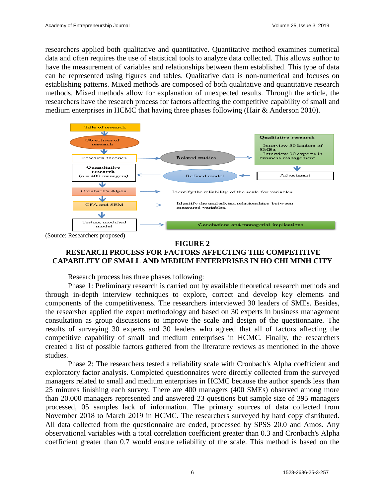researchers applied both qualitative and quantitative. Quantitative method examines numerical data and often requires the use of statistical tools to analyze data collected. This allows author to have the measurement of variables and relationships between them established. This type of data can be represented using figures and tables. Qualitative data is non-numerical and focuses on establishing patterns. Mixed methods are composed of both qualitative and quantitative research methods. Mixed methods allow for explanation of unexpected results. Through the article, the researchers have the research process for factors affecting the competitive capability of small and medium enterprises in HCMC that having three phases following (Hair & Anderson 2010).



(Source: Researchers proposed)

### **FIGURE 2**

## **RESEARCH PROCESS FOR FACTORS AFFECTING THE COMPETITIVE CAPABILITY OF SMALL AND MEDIUM ENTERPRISES IN HO CHI MINH CITY**

Research process has three phases following:

Phase 1: Preliminary research is carried out by available theoretical research methods and through in-depth interview techniques to explore, correct and develop key elements and components of the competitiveness. The researchers interviewed 30 leaders of SMEs. Besides, the researsher applied the expert methodology and based on 30 experts in business management consultation as group discussions to improve the scale and design of the questionnaire. The results of surveying 30 experts and 30 leaders who agreed that all of factors affecting the competitive capability of small and medium enterprises in HCMC. Finally, the researchers created a list of possible factors gathered from the literature reviews as mentioned in the above studies.

Phase 2: The researchers tested a reliability scale with Cronbach's Alpha coefficient and exploratory factor analysis. Completed questionnaires were directly collected from the surveyed managers related to small and medium enterprises in HCMC because the author spends less than 25 minutes finishing each survey. There are 400 managers (400 SMEs) observed among more than 20.000 managers represented and answered 23 questions but sample size of 395 managers processed, 05 samples lack of information. The primary sources of data collected from November 2018 to March 2019 in HCMC. The researchers surveyed by hard copy distributed. All data collected from the questionnaire are coded, processed by SPSS 20.0 and Amos. Any observational variables with a total correlation coefficient greater than 0.3 and Cronbach's Alpha coefficient greater than 0.7 would ensure reliability of the scale. This method is based on the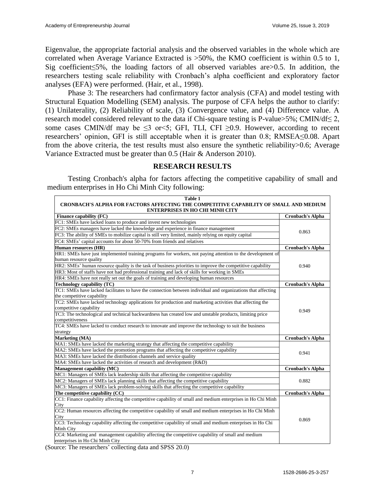Eigenvalue, the appropriate factorial analysis and the observed variables in the whole which are correlated when Average Variance Extracted is >50%, the KMO coefficient is within 0.5 to 1, Sig coefficient≤5%, the loading factors of all observed variables are>0.5. In addition, the researchers testing scale reliability with Cronbach's alpha coefficient and exploratory factor analyses (EFA) were performed. (Hair, et al., 1998).

Phase 3: The researchers had confirmatory factor analysis (CFA) and model testing with Structural Equation Modelling (SEM) analysis. The purpose of CFA helps the author to clarify: (1) Unilaterality, (2) Reliability of scale, (3) Convergence value, and (4) Difference value. A research model considered relevant to the data if Chi-square testing is P-value>5%; CMIN/df $\leq$ 2, some cases CMIN/df may be  $\leq$ 3 or $\leq$ 5; GFI, TLI, CFI  $\geq$ 0.9. However, according to recent researchers' opinion, GFI is still acceptable when it is greater than 0.8; RMSEA≤0.08. Apart from the above criteria, the test results must also ensure the synthetic reliability>0.6; Average Variance Extracted must be greater than 0.5 (Hair & Anderson 2010).

### **RESEARCH RESULTS**

Testing Cronbach's alpha for factors affecting the competitive capability of small and medium enterprises in Ho Chi Minh City following:

| Table 1                                                                                                                         |                         |  |  |  |  |  |  |
|---------------------------------------------------------------------------------------------------------------------------------|-------------------------|--|--|--|--|--|--|
| CRONBACH'S ALPHA FOR FACTORS AFFECTING THE COMPETITIVE CAPABILITY OF SMALL AND MEDIUM<br><b>ENTERPRISES IN HO CHI MINH CITY</b> |                         |  |  |  |  |  |  |
| Finance capability (FC)                                                                                                         | <b>Cronbach's Alpha</b> |  |  |  |  |  |  |
| FC1: SMEs have lacked loans to produce and invest new technologies                                                              |                         |  |  |  |  |  |  |
| FC2: SMEs managers have lacked the knowledge and experience in finance management                                               | 0.863                   |  |  |  |  |  |  |
| FC3: The ability of SMEs to mobilize capital is still very limited, mainly relying on equity capital                            |                         |  |  |  |  |  |  |
| FC4: SMEs' capital accounts for about 50-70% from friends and relatives                                                         |                         |  |  |  |  |  |  |
| Human resources (HR)                                                                                                            | <b>Cronbach's Alpha</b> |  |  |  |  |  |  |
| HR1: SMEs have just implemented training programs for workers, not paying attention to the development of                       |                         |  |  |  |  |  |  |
| human resource quality                                                                                                          | 0.940                   |  |  |  |  |  |  |
| HR2: SMEs' human resource quality is the task of business priorities to improve the competitive capability                      |                         |  |  |  |  |  |  |
| HR3: Most of staffs have not had professional training and lack of skills for working in SMEs                                   |                         |  |  |  |  |  |  |
| HR4: SMEs have not really set out the goals of training and developing human resources                                          |                         |  |  |  |  |  |  |
| Technology capability (TC)                                                                                                      | <b>Cronbach's Alpha</b> |  |  |  |  |  |  |
| TC1: SMEs have lacked facilitates to have the connection between individual and organizations that affecting                    |                         |  |  |  |  |  |  |
| the competitive capability                                                                                                      |                         |  |  |  |  |  |  |
| TC2: SMEs have lacked technology applications for production and marketing activities that affecting the                        |                         |  |  |  |  |  |  |
| competitive capability                                                                                                          | 0.949                   |  |  |  |  |  |  |
| TC3: The technological and technical backwardness has created low and unstable products, limiting price                         |                         |  |  |  |  |  |  |
| competitiveness                                                                                                                 |                         |  |  |  |  |  |  |
| TC4: SMEs have lacked to conduct research to innovate and improve the technology to suit the business                           |                         |  |  |  |  |  |  |
| strategy                                                                                                                        |                         |  |  |  |  |  |  |
| Marketing (MA)                                                                                                                  | <b>Cronbach's Alpha</b> |  |  |  |  |  |  |
| MA1: SMEs have lacked the marketing strategy that affecting the competitive capability                                          |                         |  |  |  |  |  |  |
| MA2: SMEs have lacked the promotion programs that affecting the competitive capability                                          | 0.941                   |  |  |  |  |  |  |
| MA3: SMEs have lacked the distribution channels and service quality                                                             |                         |  |  |  |  |  |  |
| MA4: SMEs have lacked the activities of research and development (R&D)                                                          |                         |  |  |  |  |  |  |
| Management capability (MC)                                                                                                      | <b>Cronbach's Alpha</b> |  |  |  |  |  |  |
| MC1: Managers of SMEs lack leadership skills that affecting the competitive capability                                          |                         |  |  |  |  |  |  |
| MC2: Managers of SMEs lack planning skills that affecting the competitive capability                                            | 0.882                   |  |  |  |  |  |  |
| MC3: Managers of SMEs lack problem-solving skills that affecting the competitive capability                                     |                         |  |  |  |  |  |  |
| The competitive capability (CC)                                                                                                 | <b>Cronbach's Alpha</b> |  |  |  |  |  |  |
| CC1: Finance capability affecting the competitive capability of small and medium enterprises in Ho Chi Minh                     |                         |  |  |  |  |  |  |
| City                                                                                                                            |                         |  |  |  |  |  |  |
| CC2: Human resources affecting the competitive capability of small and medium enterprises in Ho Chi Minh                        |                         |  |  |  |  |  |  |
| City                                                                                                                            | 0.869                   |  |  |  |  |  |  |
| CC3: Technology capability affecting the competitive capability of small and medium enterprises in Ho Chi                       |                         |  |  |  |  |  |  |
| Minh City                                                                                                                       |                         |  |  |  |  |  |  |
| CC4: Marketing and management capability affecting the competitive capability of small and medium                               |                         |  |  |  |  |  |  |
| enterprises in Ho Chi Minh City                                                                                                 |                         |  |  |  |  |  |  |

(Source: The researchers' collecting data and SPSS 20.0)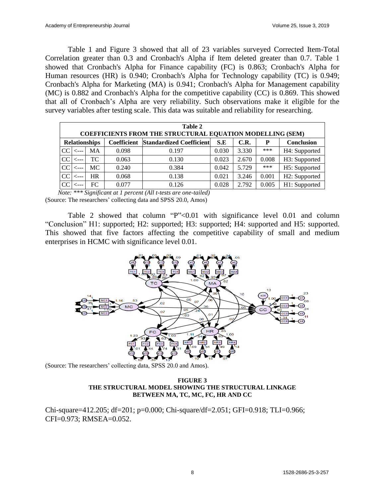Table 1 and Figure 3 showed that all of 23 variables surveyed Corrected Item-Total Correlation greater than 0.3 and Cronbach's Alpha if Item deleted greater than 0.7. Table 1 showed that Cronbach's Alpha for Finance capability (FC) is 0.863; Cronbach's Alpha for Human resources (HR) is 0.940; Cronbach's Alpha for Technology capability (TC) is 0.949; Cronbach's Alpha for Marketing (MA) is 0.941; Cronbach's Alpha for Management capability (MC) is 0.882 and Cronbach's Alpha for the competitive capability (CC) is 0.869. This showed that all of Cronbach's Alpha are very reliability. Such observations make it eligible for the survey variables after testing scale. This data was suitable and reliability for researching.

| Table 2<br><b>COEFFICIENTS FROM THE STRUCTURAL EQUATION MODELLING (SEM)</b> |      |           |       |                                             |       |       |       |               |  |
|-----------------------------------------------------------------------------|------|-----------|-------|---------------------------------------------|-------|-------|-------|---------------|--|
| <b>Relationships</b>                                                        |      |           |       | <b>Coefficient</b> Standardized Coefficient | S.E   | C.R.  | P     | Conclusion    |  |
| <sub>CC</sub>                                                               | ←--- | <b>MA</b> | 0.098 | 0.197                                       | 0.030 | 3.330 | ***   | H4: Supported |  |
| CC                                                                          | <--- | TC.       | 0.063 | 0.130                                       | 0.023 | 2.670 | 0.008 | H3: Supported |  |
| CC                                                                          | <--- | MC.       | 0.240 | 0.384                                       | 0.042 | 5.729 | ***   | H5: Supported |  |
| CC                                                                          | ←--- | HR        | 0.068 | 0.138                                       | 0.021 | 3.246 | 0.001 | H2: Supported |  |
| <sub>CC</sub>                                                               | ---- | FC        | 0.077 | 0.126                                       | 0.028 | 2.792 | 0.005 | H1: Supported |  |

 *Note: \*\*\* Significant at 1 percent (All t-tests are one-tailed)* (Source: The researchers' collecting data and SPSS 20.0, Amos)

Table 2 showed that column "P"<0.01 with significance level 0.01 and column "Conclusion" H1: supported; H2: supported; H3: supported; H4: supported and H5: supported. This showed that five factors affecting the competitive capability of small and medium enterprises in HCMC with significance level 0.01.



(Source: The researchers' collecting data, SPSS 20.0 and Amos).

#### **FIGURE 3 THE STRUCTURAL MODEL SHOWING THE STRUCTURAL LINKAGE BETWEEN MA, TC, MC, FC, HR AND CC**

Chi-square=412.205; df=201; p=0.000; Chi-square/df=2.051; GFI=0.918; TLI=0.966; CFI=0.973; RMSEA=0.052.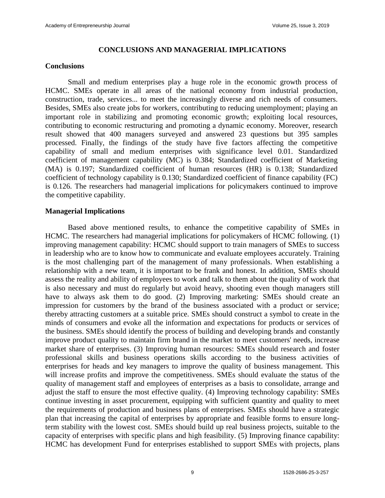### **CONCLUSIONS AND MANAGERIAL IMPLICATIONS**

### **Conclusions**

Small and medium enterprises play a huge role in the economic growth process of HCMC. SMEs operate in all areas of the national economy from industrial production, construction, trade, services... to meet the increasingly diverse and rich needs of consumers. Besides, SMEs also create jobs for workers, contributing to reducing unemployment; playing an important role in stabilizing and promoting economic growth; exploiting local resources, contributing to economic restructuring and promoting a dynamic economy. Moreover, research result showed that 400 managers surveyed and answered 23 questions but 395 samples processed. Finally, the findings of the study have five factors affecting the competitive capability of small and medium enterprises with significance level 0.01. Standardized coefficient of management capability (MC) is 0.384; Standardized coefficient of Marketing (MA) is 0.197; Standardized coefficient of human resources (HR) is 0.138; Standardized coefficient of technology capability is 0.130; Standardized coefficient of finance capability (FC) is 0.126. The researchers had managerial implications for policymakers continued to improve the competitive capability.

### **Managerial Implications**

Based above mentioned results, to enhance the competitive capability of SMEs in HCMC. The researchers had managerial implications for policymakers of HCMC following. (1) improving management capability: HCMC should support to train managers of SMEs to success in leadership who are to know how to communicate and evaluate employees accurately. Training is the most challenging part of the management of many professionals. When establishing a relationship with a new team, it is important to be frank and honest. In addition, SMEs should assess the reality and ability of employees to work and talk to them about the quality of work that is also necessary and must do regularly but avoid heavy, shooting even though managers still have to always ask them to do good. (2) Improving marketing: SMEs should create an impression for customers by the brand of the business associated with a product or service; thereby attracting customers at a suitable price. SMEs should construct a symbol to create in the minds of consumers and evoke all the information and expectations for products or services of the business. SMEs should identify the process of building and developing brands and constantly improve product quality to maintain firm brand in the market to meet customers' needs, increase market share of enterprises. (3) Improving human resources: SMEs should research and foster professional skills and business operations skills according to the business activities of enterprises for heads and key managers to improve the quality of business management. This will increase profits and improve the competitiveness. SMEs should evaluate the status of the quality of management staff and employees of enterprises as a basis to consolidate, arrange and adjust the staff to ensure the most effective quality. (4) Improving technology capability: SMEs continue investing in asset procurement, equipping with sufficient quantity and quality to meet the requirements of production and business plans of enterprises. SMEs should have a strategic plan that increasing the capital of enterprises by appropriate and feasible forms to ensure longterm stability with the lowest cost. SMEs should build up real business projects, suitable to the capacity of enterprises with specific plans and high feasibility. (5) Improving finance capability: HCMC has development Fund for enterprises established to support SMEs with projects, plans